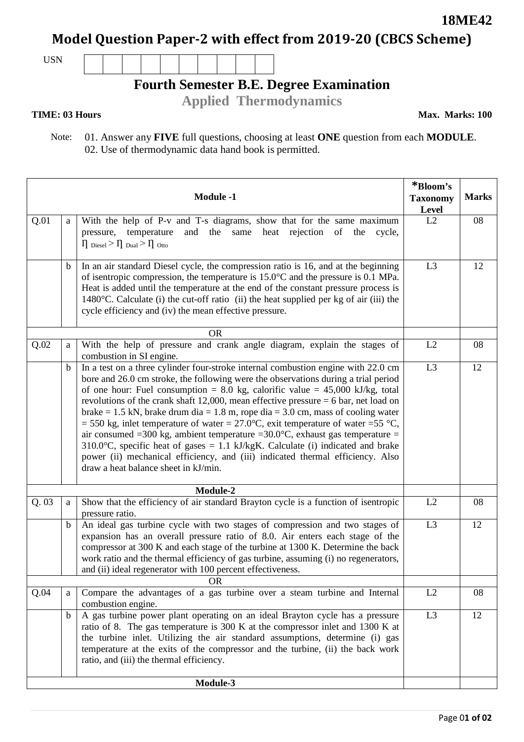**18ME42**

**Model Question Paper-2 with effect from 2019-20 (CBCS Scheme)**

USN

## **Fourth Semester B.E. Degree Examination**

**Applied Thermodynamics**

## **TIME: 03 Hours**

**Max. Marks: 100**

 Note: 01. Answer any **FIVE** full questions, choosing at least **ONE** question from each **MODULE**. 02. Use of thermodynamic data hand book is permitted.

| <b>Module -1</b> |             |                                                                                                                                                                                                                                                                                                                                                                                                                                                                                                                                                                                                                                                                                                                                                                                                                            | *Bloom's<br><b>Taxonomy</b><br>Level | <b>Marks</b> |
|------------------|-------------|----------------------------------------------------------------------------------------------------------------------------------------------------------------------------------------------------------------------------------------------------------------------------------------------------------------------------------------------------------------------------------------------------------------------------------------------------------------------------------------------------------------------------------------------------------------------------------------------------------------------------------------------------------------------------------------------------------------------------------------------------------------------------------------------------------------------------|--------------------------------------|--------------|
| Q.01             | $\rm{a}$    | With the help of P-v and T-s diagrams, show that for the same maximum<br>and the same heat<br>rejection of the<br>pressure,<br>temperature<br>cycle,<br>$\Pi_{\text{Diesel}} > \Pi_{\text{Dual}} > \Pi_{\text{Otto}}$                                                                                                                                                                                                                                                                                                                                                                                                                                                                                                                                                                                                      | L2                                   | 08           |
|                  | $\mathbf b$ | In an air standard Diesel cycle, the compression ratio is 16, and at the beginning<br>of isentropic compression, the temperature is $15.0^{\circ}$ C and the pressure is 0.1 MPa.<br>Heat is added until the temperature at the end of the constant pressure process is<br>1480°C. Calculate (i) the cut-off ratio (ii) the heat supplied per kg of air (iii) the<br>cycle efficiency and (iv) the mean effective pressure.                                                                                                                                                                                                                                                                                                                                                                                                | L <sub>3</sub>                       | 12           |
|                  |             | <b>OR</b>                                                                                                                                                                                                                                                                                                                                                                                                                                                                                                                                                                                                                                                                                                                                                                                                                  |                                      |              |
| Q.02             | a           | With the help of pressure and crank angle diagram, explain the stages of<br>combustion in SI engine.                                                                                                                                                                                                                                                                                                                                                                                                                                                                                                                                                                                                                                                                                                                       | L2                                   | 08           |
|                  | b           | In a test on a three cylinder four-stroke internal combustion engine with 22.0 cm<br>bore and 26.0 cm stroke, the following were the observations during a trial period<br>of one hour: Fuel consumption = 8.0 kg, calorific value = $45,000$ kJ/kg, total<br>revolutions of the crank shaft 12,000, mean effective pressure $= 6$ bar, net load on<br>brake = 1.5 kN, brake drum dia = 1.8 m, rope dia = 3.0 cm, mass of cooling water<br>= 550 kg, inlet temperature of water = 27.0°C, exit temperature of water = 55 °C,<br>air consumed =300 kg, ambient temperature =30.0°C, exhaust gas temperature =<br>310.0 °C, specific heat of gases = 1.1 kJ/kgK. Calculate (i) indicated and brake<br>power (ii) mechanical efficiency, and (iii) indicated thermal efficiency. Also<br>draw a heat balance sheet in kJ/min. | L <sub>3</sub>                       | 12           |
| Module-2         |             |                                                                                                                                                                                                                                                                                                                                                                                                                                                                                                                                                                                                                                                                                                                                                                                                                            |                                      |              |
| Q.03             | a           | Show that the efficiency of air standard Brayton cycle is a function of isentropic<br>pressure ratio.                                                                                                                                                                                                                                                                                                                                                                                                                                                                                                                                                                                                                                                                                                                      | L2                                   | 08           |
|                  | $\mathbf b$ | An ideal gas turbine cycle with two stages of compression and two stages of<br>expansion has an overall pressure ratio of 8.0. Air enters each stage of the<br>compressor at 300 K and each stage of the turbine at 1300 K. Determine the back<br>work ratio and the thermal efficiency of gas turbine, assuming (i) no regenerators,<br>and (ii) ideal regenerator with 100 percent effectiveness.                                                                                                                                                                                                                                                                                                                                                                                                                        | L <sub>3</sub>                       | 12           |
|                  |             | <b>OR</b>                                                                                                                                                                                                                                                                                                                                                                                                                                                                                                                                                                                                                                                                                                                                                                                                                  |                                      |              |
| Q.04             | a           | Compare the advantages of a gas turbine over a steam turbine and Internal<br>combustion engine.                                                                                                                                                                                                                                                                                                                                                                                                                                                                                                                                                                                                                                                                                                                            | L2                                   | 08           |
|                  | $\mathbf b$ | A gas turbine power plant operating on an ideal Brayton cycle has a pressure<br>ratio of 8. The gas temperature is 300 K at the compressor inlet and 1300 K at<br>the turbine inlet. Utilizing the air standard assumptions, determine (i) gas<br>temperature at the exits of the compressor and the turbine, (ii) the back work<br>ratio, and (iii) the thermal efficiency.                                                                                                                                                                                                                                                                                                                                                                                                                                               | L <sub>3</sub>                       | 12           |
|                  |             | Module-3                                                                                                                                                                                                                                                                                                                                                                                                                                                                                                                                                                                                                                                                                                                                                                                                                   |                                      |              |